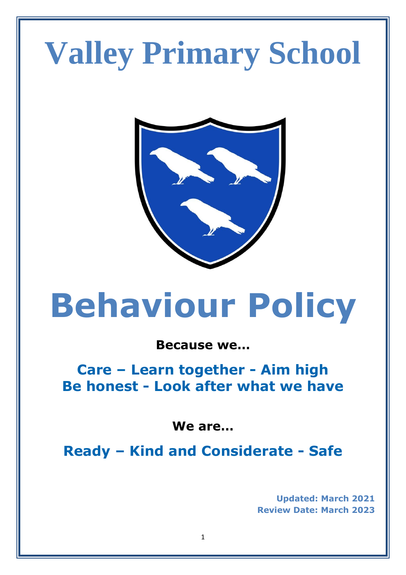# **Valley Primary School**



# **Behaviour Policy**

# **Because we…**

**Care – Learn together - Aim high Be honest - Look after what we have** 

**We are…**

**Ready – Kind and Considerate - Safe**

**Updated: March 2021 Review Date: March 2023**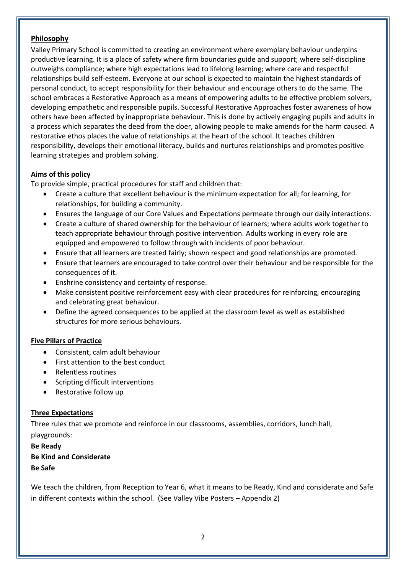## **Philosophy**

Valley Primary School is committed to creating an environment where exemplary behaviour underpins productive learning. It is a place of safety where firm boundaries guide and support; where self-discipline outweighs compliance; where high expectations lead to lifelong learning; where care and respectful relationships build self-esteem. Everyone at our school is expected to maintain the highest standards of personal conduct, to accept responsibility for their behaviour and encourage others to do the same. The school embraces a Restorative Approach as a means of empowering adults to be effective problem solvers, developing empathetic and responsible pupils. Successful Restorative Approaches foster awareness of how others have been affected by inappropriate behaviour. This is done by actively engaging pupils and adults in a process which separates the deed from the doer, allowing people to make amends for the harm caused. A restorative ethos places the value of relationships at the heart of the school. It teaches children responsibility, develops their emotional literacy, builds and nurtures relationships and promotes positive learning strategies and problem solving.

## **Aims of this policy**

To provide simple, practical procedures for staff and children that:

- Create a culture that excellent behaviour is the minimum expectation for all; for learning, for relationships, for building a community.
- Ensures the language of our Core Values and Expectations permeate through our daily interactions.
- Create a culture of shared ownership for the behaviour of learners; where adults work together to teach appropriate behaviour through positive intervention. Adults working in every role are equipped and empowered to follow through with incidents of poor behaviour.
- Ensure that all learners are treated fairly; shown respect and good relationships are promoted.
- Ensure that learners are encouraged to take control over their behaviour and be responsible for the consequences of it.
- Enshrine consistency and certainty of response.
- Make consistent positive reinforcement easy with clear procedures for reinforcing, encouraging and celebrating great behaviour.
- Define the agreed consequences to be applied at the classroom level as well as established structures for more serious behaviours.

#### **Five Pillars of Practice**

- Consistent, calm adult behaviour
- First attention to the best conduct
- Relentless routines
- Scripting difficult interventions
- Restorative follow up

#### **Three Expectations**

Three rules that we promote and reinforce in our classrooms, assemblies, corridors, lunch hall,

playgrounds: **Be Ready Be Kind and Considerate Be Safe**

We teach the children, from Reception to Year 6, what it means to be Ready, Kind and considerate and Safe in different contexts within the school. (See Valley Vibe Posters – Appendix 2)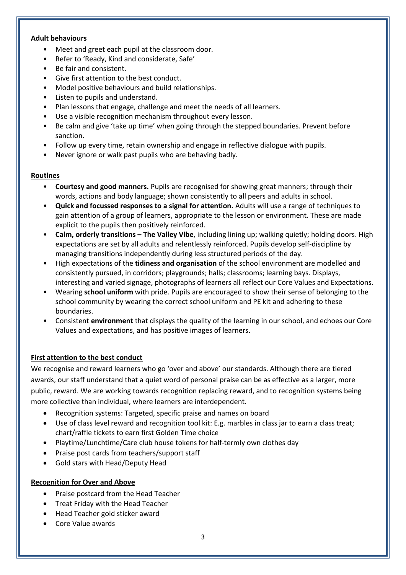#### **Adult behaviours**

- Meet and greet each pupil at the classroom door.
- Refer to 'Ready, Kind and considerate, Safe'
- Be fair and consistent.
- Give first attention to the best conduct.
- Model positive behaviours and build relationships.
- Listen to pupils and understand.
- Plan lessons that engage, challenge and meet the needs of all learners.
- Use a visible recognition mechanism throughout every lesson.
- Be calm and give 'take up time' when going through the stepped boundaries. Prevent before sanction.
- Follow up every time, retain ownership and engage in reflective dialogue with pupils.
- Never ignore or walk past pupils who are behaving badly.

#### **Routines**

- **Courtesy and good manners.** Pupils are recognised for showing great manners; through their words, actions and body language; shown consistently to all peers and adults in school.
- **Quick and focussed responses to a signal for attention.** Adults will use a range of techniques to gain attention of a group of learners, appropriate to the lesson or environment. These are made explicit to the pupils then positively reinforced.
- **Calm, orderly transitions – The Valley Vibe**, including lining up; walking quietly; holding doors. High expectations are set by all adults and relentlessly reinforced. Pupils develop self-discipline by managing transitions independently during less structured periods of the day.
- High expectations of the **tidiness and organisation** of the school environment are modelled and consistently pursued, in corridors; playgrounds; halls; classrooms; learning bays. Displays, interesting and varied signage, photographs of learners all reflect our Core Values and Expectations.
- Wearing **school uniform** with pride. Pupils are encouraged to show their sense of belonging to the school community by wearing the correct school uniform and PE kit and adhering to these boundaries.
- Consistent **environment** that displays the quality of the learning in our school, and echoes our Core Values and expectations, and has positive images of learners.

# **First attention to the best conduct**

We recognise and reward learners who go 'over and above' our standards. Although there are tiered awards, our staff understand that a quiet word of personal praise can be as effective as a larger, more public, reward. We are working towards recognition replacing reward, and to recognition systems being more collective than individual, where learners are interdependent.

- Recognition systems: Targeted, specific praise and names on board
- Use of class level reward and recognition tool kit: E.g. marbles in class jar to earn a class treat; chart/raffle tickets to earn first Golden Time choice
- Playtime/Lunchtime/Care club house tokens for half-termly own clothes day
- Praise post cards from teachers/support staff
- Gold stars with Head/Deputy Head

#### **Recognition for Over and Above**

- Praise postcard from the Head Teacher
- Treat Friday with the Head Teacher
- Head Teacher gold sticker award
- Core Value awards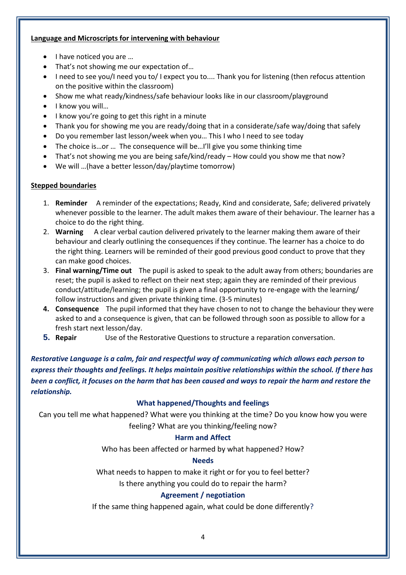#### **Language and Microscripts for intervening with behaviour**

- I have noticed you are ...
- That's not showing me our expectation of...
- I need to see you/I need you to/I expect you to.... Thank you for listening (then refocus attention on the positive within the classroom)
- Show me what ready/kindness/safe behaviour looks like in our classroom/playground
- I know you will...
- I know you're going to get this right in a minute
- Thank you for showing me you are ready/doing that in a considerate/safe way/doing that safely
- Do you remember last lesson/week when you… This I who I need to see today
- The choice is…or … The consequence will be…I'll give you some thinking time
- That's not showing me you are being safe/kind/ready How could you show me that now?
- We will …(have a better lesson/day/playtime tomorrow)

#### **Stepped boundaries**

- 1. **Reminder** A reminder of the expectations; Ready, Kind and considerate, Safe; delivered privately whenever possible to the learner. The adult makes them aware of their behaviour. The learner has a choice to do the right thing.
- 2. **Warning** A clear verbal caution delivered privately to the learner making them aware of their behaviour and clearly outlining the consequences if they continue. The learner has a choice to do the right thing. Learners will be reminded of their good previous good conduct to prove that they can make good choices.
- 3. **Final warning/Time out** The pupil is asked to speak to the adult away from others; boundaries are reset; the pupil is asked to reflect on their next step; again they are reminded of their previous conduct/attitude/learning; the pupil is given a final opportunity to re-engage with the learning/ follow instructions and given private thinking time. (3-5 minutes)
- **4. Consequence** The pupil informed that they have chosen to not to change the behaviour they were asked to and a consequence is given, that can be followed through soon as possible to allow for a fresh start next lesson/day.
- **5. Repair** Use of the Restorative Questions to structure a reparation conversation.

*Restorative Language is a calm, fair and respectful way of communicating which allows each person to express their thoughts and feelings. It helps maintain positive relationships within the school. If there has been a conflict, it focuses on the harm that has been caused and ways to repair the harm and restore the relationship.*

#### **What happened/Thoughts and feelings**

Can you tell me what happened? What were you thinking at the time? Do you know how you were feeling? What are you thinking/feeling now?

#### **Harm and Affect**

Who has been affected or harmed by what happened? How?

#### **Needs**

What needs to happen to make it right or for you to feel better?

Is there anything you could do to repair the harm?

# **Agreement / negotiation**

If the same thing happened again, what could be done differently?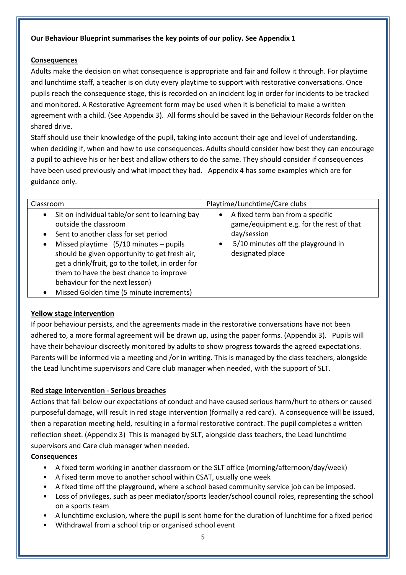# **Our Behaviour Blueprint summarises the key points of our policy. See Appendix 1**

#### **Consequences**

Adults make the decision on what consequence is appropriate and fair and follow it through. For playtime and lunchtime staff, a teacher is on duty every playtime to support with restorative conversations. Once pupils reach the consequence stage, this is recorded on an incident log in order for incidents to be tracked and monitored. A Restorative Agreement form may be used when it is beneficial to make a written agreement with a child. (See Appendix 3). All forms should be saved in the Behaviour Records folder on the shared drive.

Staff should use their knowledge of the pupil, taking into account their age and level of understanding, when deciding if, when and how to use consequences. Adults should consider how best they can encourage a pupil to achieve his or her best and allow others to do the same. They should consider if consequences have been used previously and what impact they had. Appendix 4 has some examples which are for guidance only.

| Classroom                                                                                                                                                                                                                                                                                                                                                                                                                                     | Playtime/Lunchtime/Care clubs                                                                                                                                                   |
|-----------------------------------------------------------------------------------------------------------------------------------------------------------------------------------------------------------------------------------------------------------------------------------------------------------------------------------------------------------------------------------------------------------------------------------------------|---------------------------------------------------------------------------------------------------------------------------------------------------------------------------------|
| Sit on individual table/or sent to learning bay<br>$\bullet$<br>outside the classroom<br>Sent to another class for set period<br>$\bullet$<br>Missed playtime (5/10 minutes - pupils<br>$\bullet$<br>should be given opportunity to get fresh air,<br>get a drink/fruit, go to the toilet, in order for<br>them to have the best chance to improve<br>behaviour for the next lesson)<br>Missed Golden time (5 minute increments)<br>$\bullet$ | A fixed term ban from a specific<br>$\bullet$<br>game/equipment e.g. for the rest of that<br>day/session<br>5/10 minutes off the playground in<br>$\bullet$<br>designated place |

# **Yellow stage intervention**

If poor behaviour persists, and the agreements made in the restorative conversations have not been adhered to, a more formal agreement will be drawn up, using the paper forms. (Appendix 3). Pupils will have their behaviour discreetly monitored by adults to show progress towards the agreed expectations. Parents will be informed via a meeting and /or in writing. This is managed by the class teachers, alongside the Lead lunchtime supervisors and Care club manager when needed, with the support of SLT.

# **Red stage intervention - Serious breaches**

Actions that fall below our expectations of conduct and have caused serious harm/hurt to others or caused purposeful damage, will result in red stage intervention (formally a red card). A consequence will be issued, then a reparation meeting held, resulting in a formal restorative contract. The pupil completes a written reflection sheet. (Appendix 3) This is managed by SLT, alongside class teachers, the Lead lunchtime supervisors and Care club manager when needed.

#### **Consequences**

- A fixed term working in another classroom or the SLT office (morning/afternoon/day/week)
- A fixed term move to another school within CSAT, usually one week
- A fixed time off the playground, where a school based community service job can be imposed.
- Loss of privileges, such as peer mediator/sports leader/school council roles, representing the school on a sports team
- A lunchtime exclusion, where the pupil is sent home for the duration of lunchtime for a fixed period
- Withdrawal from a school trip or organised school event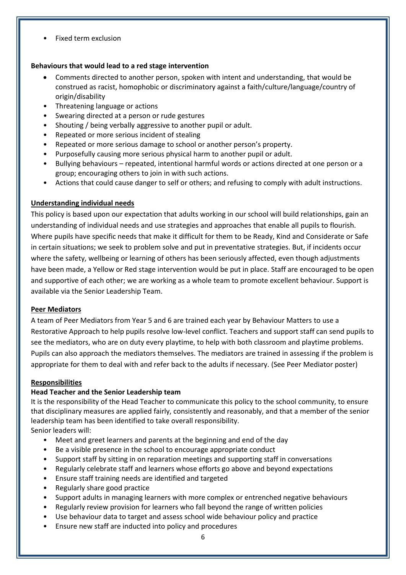• Fixed term exclusion

#### **Behaviours that would lead to a red stage intervention**

- Comments directed to another person, spoken with intent and understanding, that would be construed as racist, homophobic or discriminatory against a faith/culture/language/country of origin/disability
- Threatening language or actions
- Swearing directed at a person or rude gestures
- Shouting / being verbally aggressive to another pupil or adult.
- Repeated or more serious incident of stealing
- Repeated or more serious damage to school or another person's property.
- Purposefully causing more serious physical harm to another pupil or adult.
- Bullying behaviours repeated, intentional harmful words or actions directed at one person or a group; encouraging others to join in with such actions.
- Actions that could cause danger to self or others; and refusing to comply with adult instructions.

#### **Understanding individual needs**

This policy is based upon our expectation that adults working in our school will build relationships, gain an understanding of individual needs and use strategies and approaches that enable all pupils to flourish. Where pupils have specific needs that make it difficult for them to be Ready, Kind and Considerate or Safe in certain situations; we seek to problem solve and put in preventative strategies. But, if incidents occur where the safety, wellbeing or learning of others has been seriously affected, even though adjustments have been made, a Yellow or Red stage intervention would be put in place. Staff are encouraged to be open and supportive of each other; we are working as a whole team to promote excellent behaviour. Support is available via the Senior Leadership Team.

#### **Peer Mediators**

A team of Peer Mediators from Year 5 and 6 are trained each year by Behaviour Matters to use a Restorative Approach to help pupils resolve low-level conflict. Teachers and support staff can send pupils to see the mediators, who are on duty every playtime, to help with both classroom and playtime problems. Pupils can also approach the mediators themselves. The mediators are trained in assessing if the problem is appropriate for them to deal with and refer back to the adults if necessary. (See Peer Mediator poster)

#### **Responsibilities**

#### **Head Teacher and the Senior Leadership team**

It is the responsibility of the Head Teacher to communicate this policy to the school community, to ensure that disciplinary measures are applied fairly, consistently and reasonably, and that a member of the senior leadership team has been identified to take overall responsibility. Senior leaders will:

- Meet and greet learners and parents at the beginning and end of the day
- Be a visible presence in the school to encourage appropriate conduct
- Support staff by sitting in on reparation meetings and supporting staff in conversations
- Regularly celebrate staff and learners whose efforts go above and beyond expectations
- Ensure staff training needs are identified and targeted
- Regularly share good practice
- Support adults in managing learners with more complex or entrenched negative behaviours
- Regularly review provision for learners who fall beyond the range of written policies
- Use behaviour data to target and assess school wide behaviour policy and practice
- Ensure new staff are inducted into policy and procedures